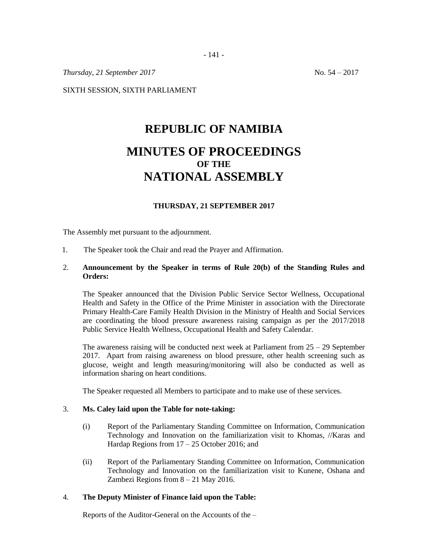*Thursday, 21 September 2017* No. 54 – 2017

SIXTH SESSION, SIXTH PARLIAMENT

# **REPUBLIC OF NAMIBIA MINUTES OF PROCEEDINGS OF THE NATIONAL ASSEMBLY**

# **THURSDAY, 21 SEPTEMBER 2017**

The Assembly met pursuant to the adjournment.

1. The Speaker took the Chair and read the Prayer and Affirmation.

## 2. **Announcement by the Speaker in terms of Rule 20(b) of the Standing Rules and Orders:**

The Speaker announced that the Division Public Service Sector Wellness, Occupational Health and Safety in the Office of the Prime Minister in association with the Directorate Primary Health-Care Family Health Division in the Ministry of Health and Social Services are coordinating the blood pressure awareness raising campaign as per the 2017/2018 Public Service Health Wellness, Occupational Health and Safety Calendar.

The awareness raising will be conducted next week at Parliament from  $25 - 29$  September 2017. Apart from raising awareness on blood pressure, other health screening such as glucose, weight and length measuring/monitoring will also be conducted as well as information sharing on heart conditions.

The Speaker requested all Members to participate and to make use of these services.

# 3. **Ms. Caley laid upon the Table for note-taking:**

- (i) Report of the Parliamentary Standing Committee on Information, Communication Technology and Innovation on the familiarization visit to Khomas, //Karas and Hardap Regions from 17 – 25 October 2016; and
- (ii) Report of the Parliamentary Standing Committee on Information, Communication Technology and Innovation on the familiarization visit to Kunene, Oshana and Zambezi Regions from 8 – 21 May 2016.

#### 4. **The Deputy Minister of Finance laid upon the Table:**

Reports of the Auditor-General on the Accounts of the –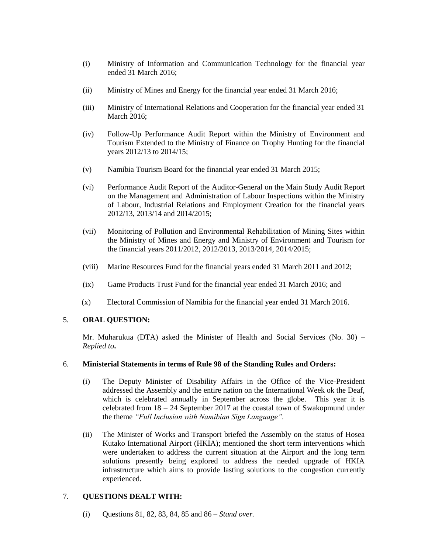- (i) Ministry of Information and Communication Technology for the financial year ended 31 March 2016;
- (ii) Ministry of Mines and Energy for the financial year ended 31 March 2016;
- (iii) Ministry of International Relations and Cooperation for the financial year ended 31 March 2016;
- (iv) Follow-Up Performance Audit Report within the Ministry of Environment and Tourism Extended to the Ministry of Finance on Trophy Hunting for the financial years 2012/13 to 2014/15;
- (v) Namibia Tourism Board for the financial year ended 31 March 2015;
- (vi) Performance Audit Report of the Auditor-General on the Main Study Audit Report on the Management and Administration of Labour Inspections within the Ministry of Labour, Industrial Relations and Employment Creation for the financial years 2012/13, 2013/14 and 2014/2015;
- (vii) Monitoring of Pollution and Environmental Rehabilitation of Mining Sites within the Ministry of Mines and Energy and Ministry of Environment and Tourism for the financial years 2011/2012, 2012/2013, 2013/2014, 2014/2015;
- (viii) Marine Resources Fund for the financial years ended 31 March 2011 and 2012;
- (ix) Game Products Trust Fund for the financial year ended 31 March 2016; and
- (x) Electoral Commission of Namibia for the financial year ended 31 March 2016.

# 5. **ORAL QUESTION:**

Mr. Muharukua (DTA) asked the Minister of Health and Social Services (No. 30) **–** *Replied to***.**

#### 6. **Ministerial Statements in terms of Rule 98 of the Standing Rules and Orders:**

- (i) The Deputy Minister of Disability Affairs in the Office of the Vice-President addressed the Assembly and the entire nation on the International Week ok the Deaf, which is celebrated annually in September across the globe. This year it is celebrated from 18 – 24 September 2017 at the coastal town of Swakopmund under the theme *"Full Inclusion with Namibian Sign Language".*
- (ii) The Minister of Works and Transport briefed the Assembly on the status of Hosea Kutako International Airport (HKIA); mentioned the short term interventions which were undertaken to address the current situation at the Airport and the long term solutions presently being explored to address the needed upgrade of HKIA infrastructure which aims to provide lasting solutions to the congestion currently experienced.

## 7. **QUESTIONS DEALT WITH:**

(i) Questions 81, 82, 83, 84, 85 and 86 – *Stand over.*